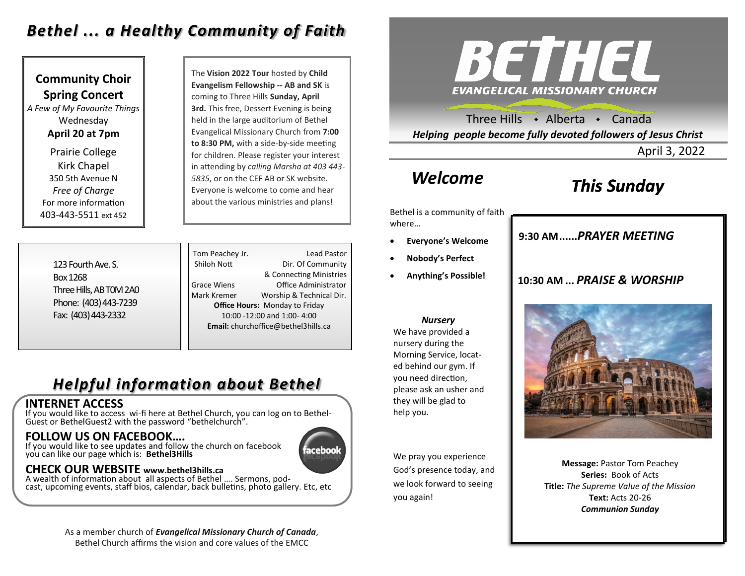## *Bethel ... a Healthy Community of Faith*

**Community Choir Spring Concert** *A Few of My Favourite Things* Wednesday **April 20 at 7pm** Prairie College Kirk Chapel 350 5th Avenue N *Free of Charge*  For more information 403-443-5511 ext 452

The **Vision 2022 Tour** hosted by **Child Evangelism Fellowship -- AB and SK** is coming to Three Hills **Sunday, April 3rd.** This free, Dessert Evening is being held in the large auditorium of Bethel Evangelical Missionary Church from **7:00 to 8:30 PM,** with a side-by-side meeting for children. Please register your interest in attending by *calling Marsha at 403 443- 5835*, or on the CEF AB or SK website. Everyone is welcome to come and hear about the various ministries and plans!

123 Fourth Ave. S. Box 1268 Three Hills, AB T0M 2A0 Phone: (403) 443-7239 Fax: (403) 443-2332

Tom Peachey Jr. **Lead Pastor** Shiloh Nott Dir. Of Community & Connecting Ministries Grace Wiens Office Administrator Mark Kremer Worship & Technical Dir. **Office Hours:** Monday to Friday 10:00 -12:00 and 1:00- 4:00 **Email:** churchoffice@bethel3hills.ca

# *Helpful information about Bethel*

#### **INTERNET ACCESS**

If you would like to access wi-fi here at Bethel Church, you can log on to Bethel-Guest or BethelGuest2 with the password "bethelchurch".

#### **FOLLOW US ON FACEBOOK….**

If you would like to see updates and follow the church on facebook you can like our page which is: **Bethel3Hills**

### **CHECK OUR WEBSITE www.bethel3hills.ca**

A wealth of information about all aspects of Bethel …. Sermons, podcast, upcoming events, staff bios, calendar, back bulletins, photo gallery. Etc, etc



Three Hills  $\cdot$  Alberta  $\cdot$  Canada *Helping people become fully devoted followers of Jesus Christ*

April 3, 2022

# *Welcome*

# *This Sunday*

Bethel is a community of faith where…

- **Everyone's Welcome**
- **Nobody's Perfect**
- **Anything's Possible!**

# **9:30 AM......***SUNDAY SCHOOL* **9:30 AM......***PRAYER MEETING*

#### **10:30 AM ...** *PRAISE & WORSHIP*



We have provided a nursery during the Morning Service, located behind our gym. If you need direction, please ask an usher and they will be glad to help you.

We pray you experience God's presence today, and we look forward to seeing you again!

# **10:30 AM....***PRAISE & WORSHIP*

**Message:** Pastor Tom Peachey **Series:** Book of Acts **Title:** *The Supreme Value of the Mission* **Text:** Acts 20-26 *Communion Sunday*